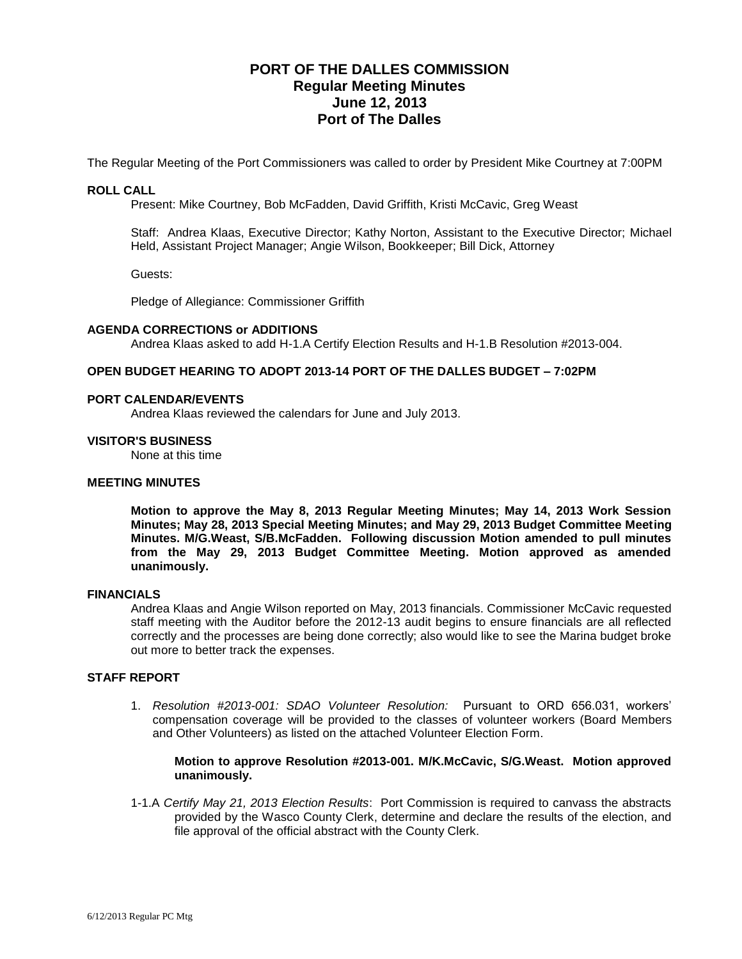# **PORT OF THE DALLES COMMISSION Regular Meeting Minutes June 12, 2013 Port of The Dalles**

The Regular Meeting of the Port Commissioners was called to order by President Mike Courtney at 7:00PM

## **ROLL CALL**

Present: Mike Courtney, Bob McFadden, David Griffith, Kristi McCavic, Greg Weast

Staff: Andrea Klaas, Executive Director; Kathy Norton, Assistant to the Executive Director; Michael Held, Assistant Project Manager; Angie Wilson, Bookkeeper; Bill Dick, Attorney

Guests:

Pledge of Allegiance: Commissioner Griffith

#### **AGENDA CORRECTIONS or ADDITIONS**

Andrea Klaas asked to add H-1.A Certify Election Results and H-1.B Resolution #2013-004.

### **OPEN BUDGET HEARING TO ADOPT 2013-14 PORT OF THE DALLES BUDGET – 7:02PM**

#### **PORT CALENDAR/EVENTS**

Andrea Klaas reviewed the calendars for June and July 2013.

#### **VISITOR'S BUSINESS**

None at this time

### **MEETING MINUTES**

**Motion to approve the May 8, 2013 Regular Meeting Minutes; May 14, 2013 Work Session Minutes; May 28, 2013 Special Meeting Minutes; and May 29, 2013 Budget Committee Meeting Minutes. M/G.Weast, S/B.McFadden. Following discussion Motion amended to pull minutes from the May 29, 2013 Budget Committee Meeting. Motion approved as amended unanimously.**

#### **FINANCIALS**

Andrea Klaas and Angie Wilson reported on May, 2013 financials. Commissioner McCavic requested staff meeting with the Auditor before the 2012-13 audit begins to ensure financials are all reflected correctly and the processes are being done correctly; also would like to see the Marina budget broke out more to better track the expenses.

### **STAFF REPORT**

1. *Resolution #2013-001: SDAO Volunteer Resolution:* Pursuant to ORD 656.031, workers' compensation coverage will be provided to the classes of volunteer workers (Board Members and Other Volunteers) as listed on the attached Volunteer Election Form.

#### **Motion to approve Resolution #2013-001. M/K.McCavic, S/G.Weast. Motion approved unanimously.**

1-1.A *Certify May 21, 2013 Election Results*: Port Commission is required to canvass the abstracts provided by the Wasco County Clerk, determine and declare the results of the election, and file approval of the official abstract with the County Clerk.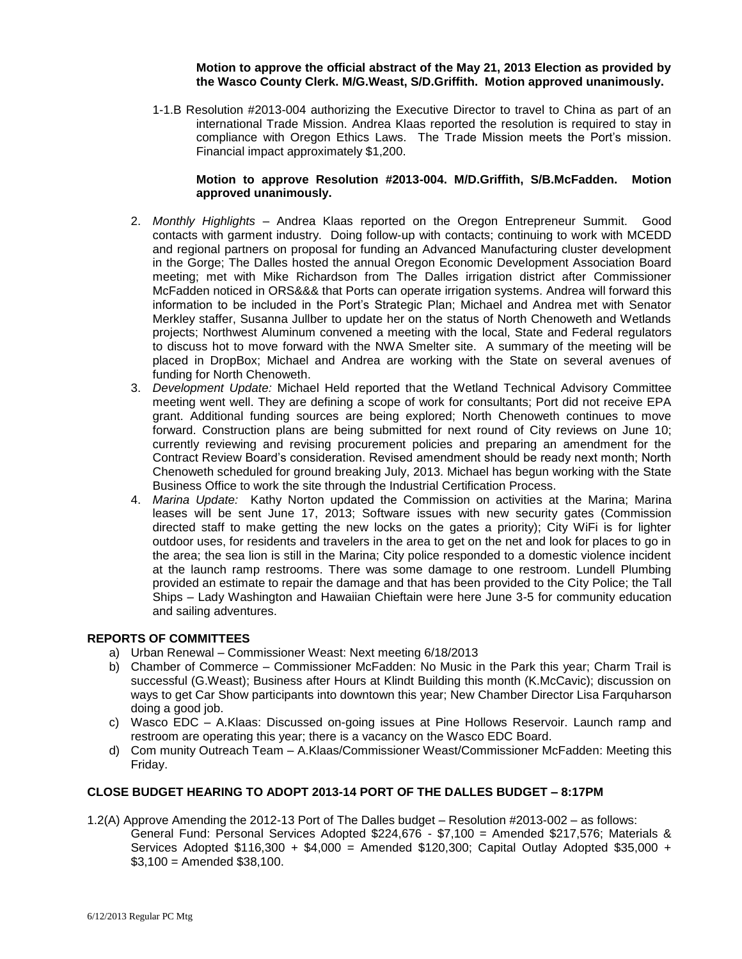## **Motion to approve the official abstract of the May 21, 2013 Election as provided by the Wasco County Clerk. M/G.Weast, S/D.Griffith. Motion approved unanimously.**

1-1.B Resolution #2013-004 authorizing the Executive Director to travel to China as part of an international Trade Mission. Andrea Klaas reported the resolution is required to stay in compliance with Oregon Ethics Laws. The Trade Mission meets the Port's mission. Financial impact approximately \$1,200.

## **Motion to approve Resolution #2013-004. M/D.Griffith, S/B.McFadden. Motion approved unanimously.**

- 2. *Monthly Highlights –* Andrea Klaas reported on the Oregon Entrepreneur Summit. Good contacts with garment industry. Doing follow-up with contacts; continuing to work with MCEDD and regional partners on proposal for funding an Advanced Manufacturing cluster development in the Gorge; The Dalles hosted the annual Oregon Economic Development Association Board meeting; met with Mike Richardson from The Dalles irrigation district after Commissioner McFadden noticed in ORS&&& that Ports can operate irrigation systems. Andrea will forward this information to be included in the Port's Strategic Plan; Michael and Andrea met with Senator Merkley staffer, Susanna Jullber to update her on the status of North Chenoweth and Wetlands projects; Northwest Aluminum convened a meeting with the local, State and Federal regulators to discuss hot to move forward with the NWA Smelter site. A summary of the meeting will be placed in DropBox; Michael and Andrea are working with the State on several avenues of funding for North Chenoweth.
- 3. *Development Update:* Michael Held reported that the Wetland Technical Advisory Committee meeting went well. They are defining a scope of work for consultants; Port did not receive EPA grant. Additional funding sources are being explored; North Chenoweth continues to move forward. Construction plans are being submitted for next round of City reviews on June 10; currently reviewing and revising procurement policies and preparing an amendment for the Contract Review Board's consideration. Revised amendment should be ready next month; North Chenoweth scheduled for ground breaking July, 2013. Michael has begun working with the State Business Office to work the site through the Industrial Certification Process.
- 4. *Marina Update:* Kathy Norton updated the Commission on activities at the Marina; Marina leases will be sent June 17, 2013; Software issues with new security gates (Commission directed staff to make getting the new locks on the gates a priority); City WiFi is for lighter outdoor uses, for residents and travelers in the area to get on the net and look for places to go in the area; the sea lion is still in the Marina; City police responded to a domestic violence incident at the launch ramp restrooms. There was some damage to one restroom. Lundell Plumbing provided an estimate to repair the damage and that has been provided to the City Police; the Tall Ships – Lady Washington and Hawaiian Chieftain were here June 3-5 for community education and sailing adventures.

## **REPORTS OF COMMITTEES**

- a) Urban Renewal Commissioner Weast: Next meeting 6/18/2013
- b) Chamber of Commerce Commissioner McFadden: No Music in the Park this year; Charm Trail is successful (G.Weast); Business after Hours at Klindt Building this month (K.McCavic); discussion on ways to get Car Show participants into downtown this year; New Chamber Director Lisa Farquharson doing a good job.
- c) Wasco EDC A.Klaas: Discussed on-going issues at Pine Hollows Reservoir. Launch ramp and restroom are operating this year; there is a vacancy on the Wasco EDC Board.
- d) Com munity Outreach Team A.Klaas/Commissioner Weast/Commissioner McFadden: Meeting this Friday.

## **CLOSE BUDGET HEARING TO ADOPT 2013-14 PORT OF THE DALLES BUDGET – 8:17PM**

- 1.2(A) Approve Amending the 2012-13 Port of The Dalles budget Resolution #2013-002 as follows:
	- General Fund: Personal Services Adopted \$224,676 \$7,100 = Amended \$217,576; Materials & Services Adopted  $$116,300 + $4,000 =$  Amended \$120,300; Capital Outlay Adopted \$35,000 +  $$3,100 =$  Amended  $$38,100$ .